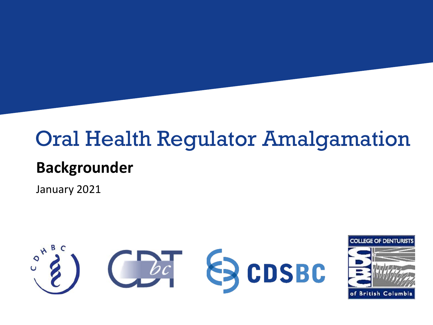### Oral Health Regulator Amalgamation

#### **Backgrounder**

January 2021



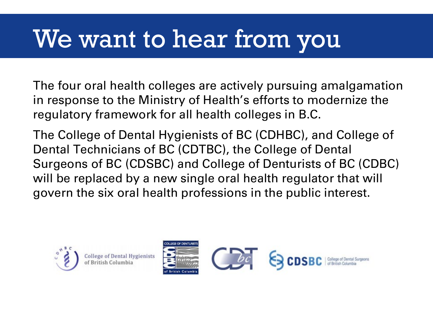# We want to hear from you

The four oral health colleges are actively pursuing amalgamation in response to the Ministry of Health's efforts to modernize the regulatory framework for all health colleges in B.C.

The College of Dental Hygienists of BC (CDHBC), and College of Dental Technicians of BC (CDTBC), the College of Dental Surgeons of BC (CDSBC) and College of Denturists of BC (CDBC) will be replaced by a new single oral health regulator that will govern the six oral health professions in the public interest.



**College of Dental Hygienists** of British Columbia

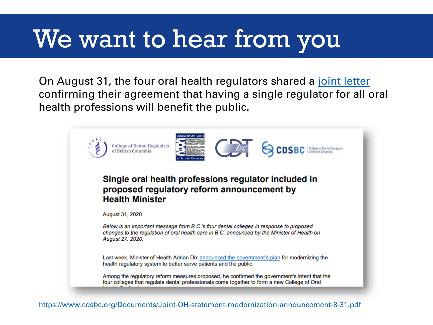# We want to hear from you

On August 31, the four oral health regulators shared a [joint letter](https://www.cdsbc.org/Documents/Joint-OH-statement-modernization-announcement-8-31.pdf) confirming their agreement that having a single regulator for all oral health professions will benefit the public.

| YOU FOR OF DRNTLIE<br><b>College of Dental Hygienists</b><br><b>CDSBC</b>   College of Dental Surgeons<br>of British Columbia<br><b>Itish Columb</b>                                                       |
|------------------------------------------------------------------------------------------------------------------------------------------------------------------------------------------------------------|
| Single oral health professions regulator included in<br>proposed regulatory reform announcement by<br><b>Health Minister</b>                                                                               |
| <b>August 31, 2020</b>                                                                                                                                                                                     |
| Below is an important message from B.C.'s four dental colleges in response to proposed<br>changes to the regulation of oral health care in B.C. announced by the Minister of Health on<br>August 27, 2020. |
| Last week, Minister of Health Adrian Dix announced the government's plan for modernizing the<br>health regulatory system to better serve patients and the public.                                          |
| Among the regulatory reform measures proposed, he confirmed the government's intent that the<br>four colleges that regulate dental professionals come together to form a new College of Oral               |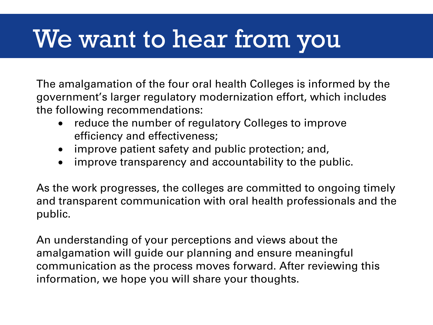# We want to hear from you

The amalgamation of the four oral health Colleges is informed by the government's larger regulatory modernization effort, which includes the following recommendations:

- reduce the number of regulatory Colleges to improve efficiency and effectiveness;
- improve patient safety and public protection; and,
- improve transparency and accountability to the public.

As the work progresses, the colleges are committed to ongoing timely and transparent communication with oral health professionals and the public.

An understanding of your perceptions and views about the amalgamation will guide our planning and ensure meaningful communication as the process moves forward. After reviewing this information, we hope you will share your thoughts.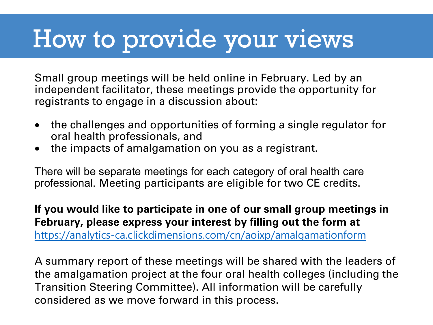### How to provide your views

Small group meetings will be held online in February. Led by an independent facilitator, these meetings provide the opportunity for registrants to engage in a discussion about:

- the challenges and opportunities of forming a single regulator for oral health professionals, and
- the impacts of amalgamation on you as a registrant.

There will be separate meetings for each category of oral health care professional. Meeting participants are eligible for two CE credits.

**If you would like to participate in one of our small group meetings in February, please express your interest by filling out the form at**  [https://analytics-ca.clickdimensions.com/cn/aoixp/amalgamationform](https://can01.safelinks.protection.outlook.com/?url=https%3A%2F%2Fu10360880.ct.sendgrid.net%2Fls%2Fclick%3Fupn%3D-2F4eJG5kHnswh7wfg0jXGCI3Y-2FAS9EZsqtXmWx5BbcPjQ8Vju0xiuHXYPnaLrmSjgR0o6HZEN10D8suDYwDSOlF4DXjGUA-2FM9mdJakn2Kdos-3D7TOr_bG2kc55QszfKTU4H1ZJzG8RjDMsmHzDVqqYBZZvEJAyPiAagCRpEPObEqs-2FAMBSwtG5brykRa0g5GMnYVB6ILMcLNMpaJkBSWy0bFNWxuVPI4ZkB-2B-2FUQCyx8UP-2BpJ7SFAT7mSBb-2BKCRtzqzGHCzLfa-2FOlJpuYFcUH-2BgKQQt1U-2B2rslbQfIVbE6ws9CxWO3YlyyB4m6hnS8HWVi0hPgCWyE8rQf3bv5zYi9Wr3VPgOEg-3D&data=04%7C01%7Cjha%40cdsbc.org%7Cb98c6171096e4331c86d08d8bda6716a%7Cbee8085b59814e6397dc05988a12bddf%7C0%7C0%7C637467869846099815%7CUnknown%7CTWFpbGZsb3d8eyJWIjoiMC4wLjAwMDAiLCJQIjoiV2luMzIiLCJBTiI6Ik1haWwiLCJXVCI6Mn0%3D%7C1000&sdata=gt1Rw6273RnkW6i%2F7gAyFFBKjBCkyqQgCEJwPkHxc1o%3D&reserved=0)

A summary report of these meetings will be shared with the leaders of the amalgamation project at the four oral health colleges (including the Transition Steering Committee). All information will be carefully considered as we move forward in this process.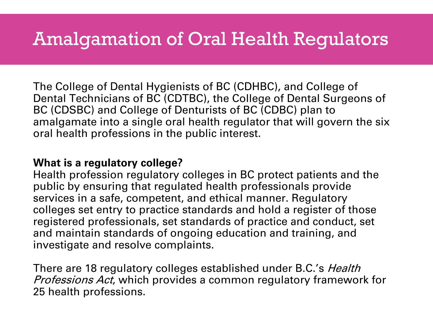### Amalgamation of Oral Health Regulators

The College of Dental Hygienists of BC (CDHBC), and College of Dental Technicians of BC (CDTBC), the College of Dental Surgeons of BC (CDSBC) and College of Denturists of BC (CDBC) plan to amalgamate into a single oral health regulator that will govern the six oral health professions in the public interest.

#### **What is a regulatory college?**

Health profession regulatory colleges in BC protect patients and the public by ensuring that regulated health professionals provide services in a safe, competent, and ethical manner. Regulatory colleges set entry to practice standards and hold a register of those registered professionals, set standards of practice and conduct, set and maintain standards of ongoing education and training, and investigate and resolve complaints.

There are 18 regulatory colleges established under B.C.'s *Health* Professions Act, which provides a common regulatory framework for 25 health professions.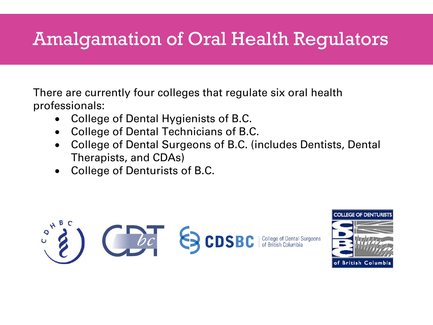### Amalgamation of Oral Health Regulators

There are currently four colleges that regulate six oral health professionals:

- College of Dental Hygienists of B.C.
- College of Dental Technicians of B.C.
- College of Dental Surgeons of B.C. (includes Dentists, Dental Therapists, and CDAs)
- College of Denturists of B.C.



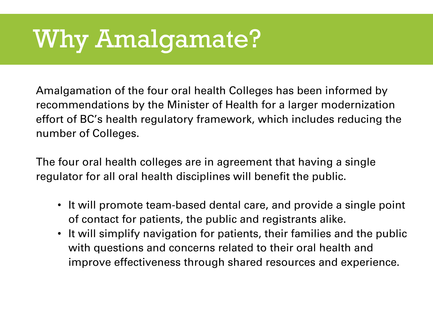# Why Amalgamate?

Amalgamation of the four oral health Colleges has been informed by recommendations by the Minister of Health for a larger modernization effort of BC's health regulatory framework, which includes reducing the number of Colleges.

The four oral health colleges are in agreement that having a single regulator for all oral health disciplines will benefit the public.

- It will promote team-based dental care, and provide a single point of contact for patients, the public and registrants alike.
- It will simplify navigation for patients, their families and the public with questions and concerns related to their oral health and improve effectiveness through shared resources and experience.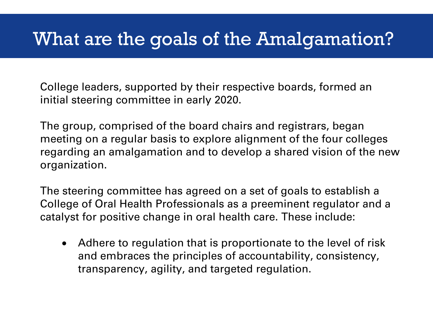### What are the goals of the Amalgamation?

College leaders, supported by their respective boards, formed an initial steering committee in early 2020.

The group, comprised of the board chairs and registrars, began meeting on a regular basis to explore alignment of the four colleges regarding an amalgamation and to develop a shared vision of the new organization.

The steering committee has agreed on a set of goals to establish a College of Oral Health Professionals as a preeminent regulator and a catalyst for positive change in oral health care. These include:

• Adhere to regulation that is proportionate to the level of risk and embraces the principles of accountability, consistency, transparency, agility, and targeted regulation.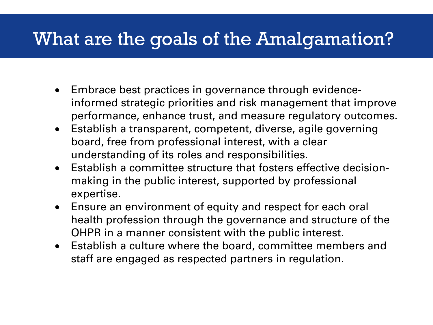### What are the goals of the Amalgamation?

- Embrace best practices in governance through evidenceinformed strategic priorities and risk management that improve performance, enhance trust, and measure regulatory outcomes.
- Establish a transparent, competent, diverse, agile governing board, free from professional interest, with a clear understanding of its roles and responsibilities.
- Establish a committee structure that fosters effective decisionmaking in the public interest, supported by professional expertise.
- Ensure an environment of equity and respect for each oral health profession through the governance and structure of the OHPR in a manner consistent with the public interest.
- Establish a culture where the board, committee members and staff are engaged as respected partners in regulation.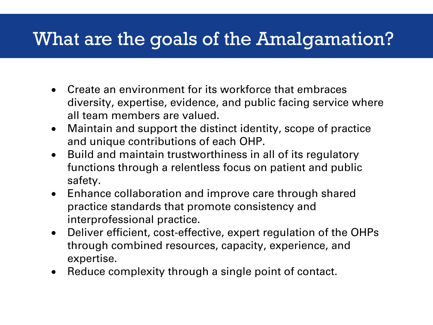### What are the goals of the Amalgamation?

- Create an environment for its workforce that embraces diversity, expertise, evidence, and public facing service where all team members are valued.
- Maintain and support the distinct identity, scope of practice and unique contributions of each OHP.
- Build and maintain trustworthiness in all of its regulatory functions through a relentless focus on patient and public safety.
- Enhance collaboration and improve care through shared practice standards that promote consistency and interprofessional practice.
- Deliver efficient, cost-effective, expert regulation of the OHPs through combined resources, capacity, experience, and expertise.
- Reduce complexity through a single point of contact.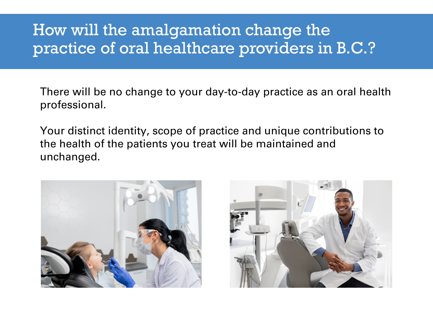#### How will the amalgamation change the practice of oral healthcare providers in B.C.?

There will be no change to your day-to-day practice as an oral health professional.

Your distinct identity, scope of practice and unique contributions to the health of the patients you treat will be maintained and unchanged.



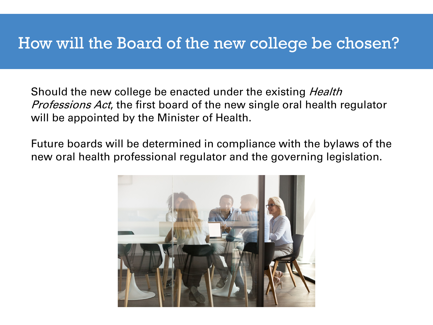#### How will the Board of the new college be chosen?

Should the new college be enacted under the existing *Health Professions Act*, the first board of the new single oral health regulator will be appointed by the Minister of Health.

Future boards will be determined in compliance with the bylaws of the new oral health professional regulator and the governing legislation.

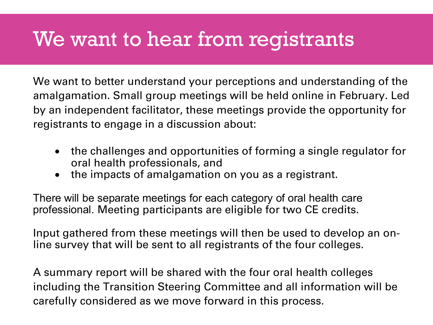### We want to hear from registrants

We want to better understand your perceptions and understanding of the amalgamation. Small group meetings will be held online in February. Led by an independent facilitator, these meetings provide the opportunity for registrants to engage in a discussion about:

- the challenges and opportunities of forming a single regulator for oral health professionals, and
- the impacts of amalgamation on you as a registrant.

There will be separate meetings for each category of oral health care professional. Meeting participants are eligible for two CE credits.

Input gathered from these meetings will then be used to develop an online survey that will be sent to all registrants of the four colleges.

A summary report will be shared with the four oral health colleges including the Transition Steering Committee and all information will be carefully considered as we move forward in this process.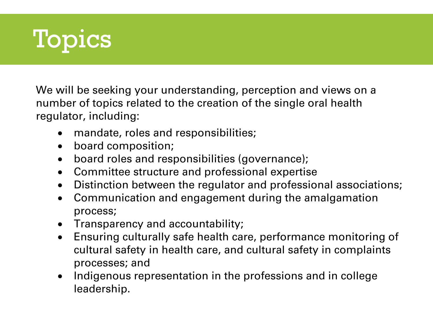

We will be seeking your understanding, perception and views on a number of topics related to the creation of the single oral health regulator, including:

- mandate, roles and responsibilities;
- board composition;
- board roles and responsibilities (governance);
- Committee structure and professional expertise
- Distinction between the regulator and professional associations;
- Communication and engagement during the amalgamation process;
- Transparency and accountability;
- Ensuring culturally safe health care, performance monitoring of cultural safety in health care, and cultural safety in complaints processes; and
- Indigenous representation in the professions and in college leadership.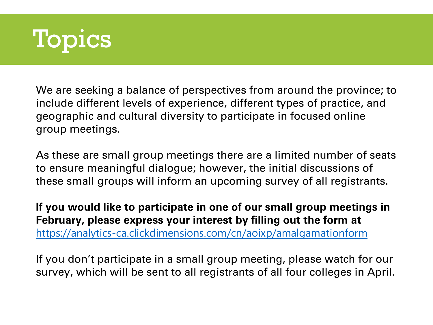

We are seeking a balance of perspectives from around the province; to include different levels of experience, different types of practice, and geographic and cultural diversity to participate in focused online group meetings.

As these are small group meetings there are a limited number of seats to ensure meaningful dialogue; however, the initial discussions of these small groups will inform an upcoming survey of all registrants.

**If you would like to participate in one of our small group meetings in February, please express your interest by filling out the form at**  [https://analytics-ca.clickdimensions.com/cn/aoixp/amalgamationform](https://can01.safelinks.protection.outlook.com/?url=https%3A%2F%2Fu10360880.ct.sendgrid.net%2Fls%2Fclick%3Fupn%3D-2F4eJG5kHnswh7wfg0jXGCI3Y-2FAS9EZsqtXmWx5BbcPjQ8Vju0xiuHXYPnaLrmSjgR0o6HZEN10D8suDYwDSOlF4DXjGUA-2FM9mdJakn2Kdos-3D7TOr_bG2kc55QszfKTU4H1ZJzG8RjDMsmHzDVqqYBZZvEJAyPiAagCRpEPObEqs-2FAMBSwtG5brykRa0g5GMnYVB6ILMcLNMpaJkBSWy0bFNWxuVPI4ZkB-2B-2FUQCyx8UP-2BpJ7SFAT7mSBb-2BKCRtzqzGHCzLfa-2FOlJpuYFcUH-2BgKQQt1U-2B2rslbQfIVbE6ws9CxWO3YlyyB4m6hnS8HWVi0hPgCWyE8rQf3bv5zYi9Wr3VPgOEg-3D&data=04%7C01%7Cjha%40cdsbc.org%7Cb98c6171096e4331c86d08d8bda6716a%7Cbee8085b59814e6397dc05988a12bddf%7C0%7C0%7C637467869846099815%7CUnknown%7CTWFpbGZsb3d8eyJWIjoiMC4wLjAwMDAiLCJQIjoiV2luMzIiLCJBTiI6Ik1haWwiLCJXVCI6Mn0%3D%7C1000&sdata=gt1Rw6273RnkW6i%2F7gAyFFBKjBCkyqQgCEJwPkHxc1o%3D&reserved=0)

If you don't participate in a small group meeting, please watch for our survey, which will be sent to all registrants of all four colleges in April.